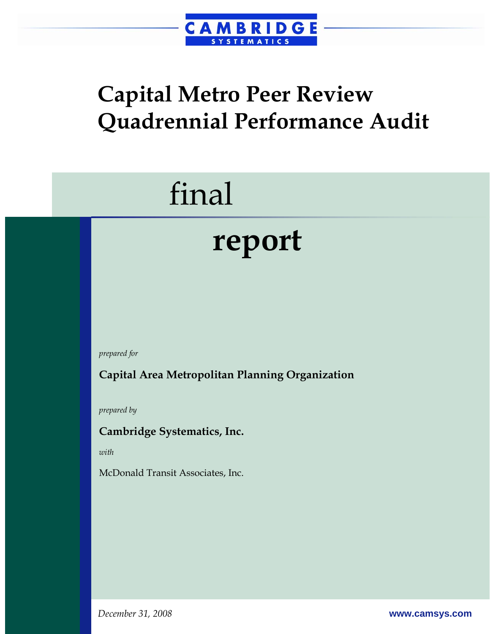

## **Capital Metro Peer Review Quadrennial Performance Audit**

## final

## **report**

*prepared for* 

**Capital Area Metropolitan Planning Organization** 

*prepared by* 

**Cambridge Systematics, Inc.** 

*with* 

McDonald Transit Associates, Inc.

*December 31, 2008* **www.camsys.com**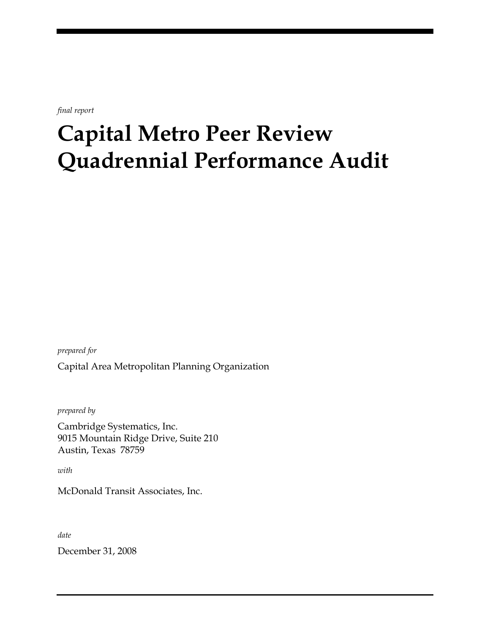*final report* 

## **Capital Metro Peer Review Quadrennial Performance Audit**

*prepared for*  Capital Area Metropolitan Planning Organization

*prepared by* 

Cambridge Systematics, Inc. 9015 Mountain Ridge Drive, Suite 210 Austin, Texas 78759

*with* 

McDonald Transit Associates, Inc.

*date* 

December 31, 2008